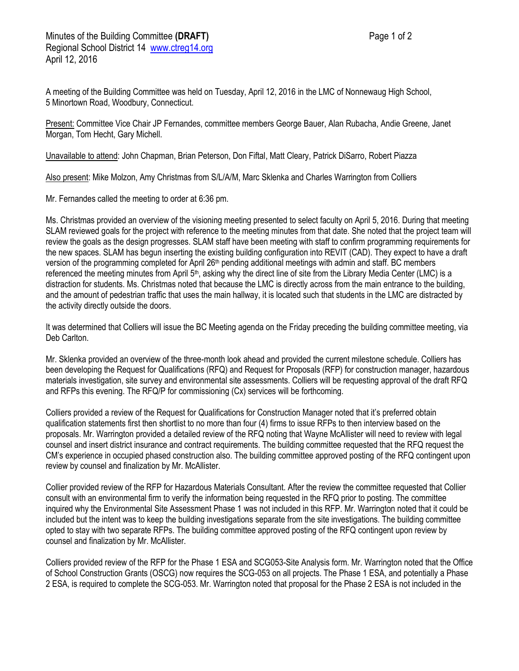Present: Committee Vice Chair JP Fernandes, committee members George Bauer, Alan Rubacha, Andie Greene, Janet Morgan, Tom Hecht, Gary Michell.

Unavailable to attend: John Chapman, Brian Peterson, Don Fiftal, Matt Cleary, Patrick DiSarro, Robert Piazza

Also present: Mike Molzon, Amy Christmas from S/L/A/M, Marc Sklenka and Charles Warrington from Colliers

Mr. Fernandes called the meeting to order at 6:36 pm.

Ms. Christmas provided an overview of the visioning meeting presented to select faculty on April 5, 2016. During that meeting SLAM reviewed goals for the project with reference to the meeting minutes from that date. She noted that the project team will review the goals as the design progresses. SLAM staff have been meeting with staff to confirm programming requirements for the new spaces. SLAM has begun inserting the existing building configuration into REVIT (CAD). They expect to have a draft version of the programming completed for April 26<sup>th</sup> pending additional meetings with admin and staff. BC members referenced the meeting minutes from April 5th, asking why the direct line of site from the Library Media Center (LMC) is a distraction for students. Ms. Christmas noted that because the LMC is directly across from the main entrance to the building, and the amount of pedestrian traffic that uses the main hallway, it is located such that students in the LMC are distracted by the activity directly outside the doors.

It was determined that Colliers will issue the BC Meeting agenda on the Friday preceding the building committee meeting, via Deb Carlton.

Mr. Sklenka provided an overview of the three-month look ahead and provided the current milestone schedule. Colliers has been developing the Request for Qualifications (RFQ) and Request for Proposals (RFP) for construction manager, hazardous materials investigation, site survey and environmental site assessments. Colliers will be requesting approval of the draft RFQ and RFPs this evening. The RFQ/P for commissioning (Cx) services will be forthcoming.

Colliers provided a review of the Request for Qualifications for Construction Manager noted that it's preferred obtain qualification statements first then shortlist to no more than four (4) firms to issue RFPs to then interview based on the proposals. Mr. Warrington provided a detailed review of the RFQ noting that Wayne McAllister will need to review with legal counsel and insert district insurance and contract requirements. The building committee requested that the RFQ request the CM's experience in occupied phased construction also. The building committee approved posting of the RFQ contingent upon review by counsel and finalization by Mr. McAllister.

Collier provided review of the RFP for Hazardous Materials Consultant. After the review the committee requested that Collier consult with an environmental firm to verify the information being requested in the RFQ prior to posting. The committee inquired why the Environmental Site Assessment Phase 1 was not included in this RFP. Mr. Warrington noted that it could be included but the intent was to keep the building investigations separate from the site investigations. The building committee opted to stay with two separate RFPs. The building committee approved posting of the RFQ contingent upon review by counsel and finalization by Mr. McAllister.

Colliers provided review of the RFP for the Phase 1 ESA and SCG053-Site Analysis form. Mr. Warrington noted that the Office of School Construction Grants (OSCG) now requires the SCG-053 on all projects. The Phase 1 ESA, and potentially a Phase 2 ESA, is required to complete the SCG-053. Mr. Warrington noted that proposal for the Phase 2 ESA is not included in the